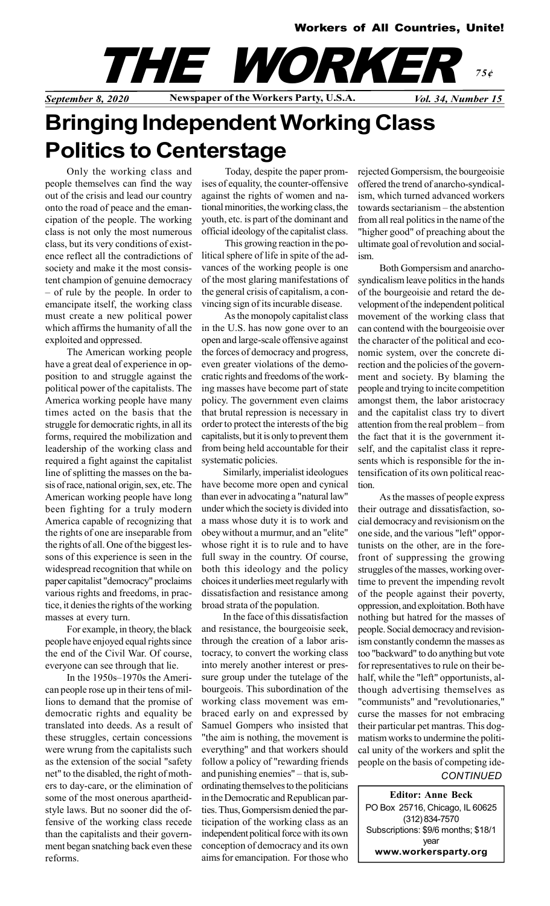### Workers of All Countries, Unite!



# Bringing Independent Working Class Politics to Centerstage

Only the working class and people themselves can find the way out of the crisis and lead our country onto the road of peace and the emancipation of the people. The working class is not only the most numerous class, but its very conditions of existence reflect all the contradictions of society and make it the most consistent champion of genuine democracy – of rule by the people. In order to emancipate itself, the working class must create a new political power which affirms the humanity of all the exploited and oppressed.

The American working people have a great deal of experience in opposition to and struggle against the political power of the capitalists. The America working people have many times acted on the basis that the struggle for democratic rights, in all its forms, required the mobilization and leadership of the working class and required a fight against the capitalist line of splitting the masses on the basis of race, national origin, sex, etc. The American working people have long been fighting for a truly modern America capable of recognizing that the rights of one are inseparable from the rights of all. One of the biggest lessons of this experience is seen in the widespread recognition that while on paper capitalist "democracy" proclaims various rights and freedoms, in practice, it denies the rights of the working masses at every turn.

For example, in theory, the black people have enjoyed equal rights since the end of the Civil War. Of course, everyone can see through that lie.

In the 1950s–1970s the American people rose up in their tens of millions to demand that the promise of democratic rights and equality be translated into deeds. As a result of these struggles, certain concessions were wrung from the capitalists such as the extension of the social "safety net" to the disabled, the right of mothers to day-care, or the elimination of some of the most onerous apartheidstyle laws. But no sooner did the offensive of the working class recede than the capitalists and their government began snatching back even these reforms.

 Today, despite the paper promises of equality, the counter-offensive against the rights of women and national minorities, the working class, the youth, etc. is part of the dominant and official ideology of the capitalist class.

 This growing reaction in the political sphere of life in spite of the advances of the working people is one of the most glaring manifestations of the general crisis of capitalism, a convincing sign of its incurable disease.

 As the monopoly capitalist class in the U.S. has now gone over to an open and large-scale offensive against the forces of democracy and progress, even greater violations of the democratic rights and freedoms of the working masses have become part of state policy. The government even claims that brutal repression is necessary in order to protect the interests of the big capitalists, but it is only to prevent them from being held accountable for their systematic policies.

Similarly, imperialist ideologues have become more open and cynical than ever in advocating a "natural law" under which the society is divided into a mass whose duty it is to work and obey without a murmur, and an "elite" whose right it is to rule and to have full sway in the country. Of course, both this ideology and the policy choices it underlies meet regularly with dissatisfaction and resistance among broad strata of the population.

In the face of this dissatisfaction and resistance, the bourgeoisie seek, through the creation of a labor aristocracy, to convert the working class into merely another interest or pressure group under the tutelage of the bourgeois. This subordination of the working class movement was embraced early on and expressed by Samuel Gompers who insisted that "the aim is nothing, the movement is everything" and that workers should follow a policy of "rewarding friends and punishing enemies" – that is, subordinating themselves to the politicians in the Democratic and Republican parties. Thus, Gompersism denied the participation of the working class as an independent political force with its own conception of democracy and its own aims for emancipation. For those who

rejected Gompersism, the bourgeoisie offered the trend of anarcho-syndicalism, which turned advanced workers towards sectarianism – the abstention from all real politics in the name of the "higher good" of preaching about the ultimate goal of revolution and socialism.

Both Gompersism and anarchosyndicalism leave politics in the hands of the bourgeoisie and retard the development of the independent political movement of the working class that can contend with the bourgeoisie over the character of the political and economic system, over the concrete direction and the policies of the government and society. By blaming the people and trying to incite competition amongst them, the labor aristocracy and the capitalist class try to divert attention from the real problem – from the fact that it is the government itself, and the capitalist class it represents which is responsible for the intensification of its own political reaction.

As the masses of people express their outrage and dissatisfaction, social democracy and revisionism on the one side, and the various "left" opportunists on the other, are in the forefront of suppressing the growing struggles of the masses, working overtime to prevent the impending revolt of the people against their poverty, oppression, and exploitation. Both have nothing but hatred for the masses of people. Social democracy and revisionism constantly condemn the masses as too "backward" to do anything but vote for representatives to rule on their behalf, while the "left" opportunists, although advertising themselves as "communists" and "revolutionaries," curse the masses for not embracing their particular pet mantras. This dogmatism works to undermine the political unity of the workers and split the people on the basis of competing ide-

#### **CONTINUED**

Editor: Anne Beck PO Box 25716, Chicago, IL 60625 (312) 834-7570 Subscriptions: \$9/6 months; \$18/1 year www.workersparty.org